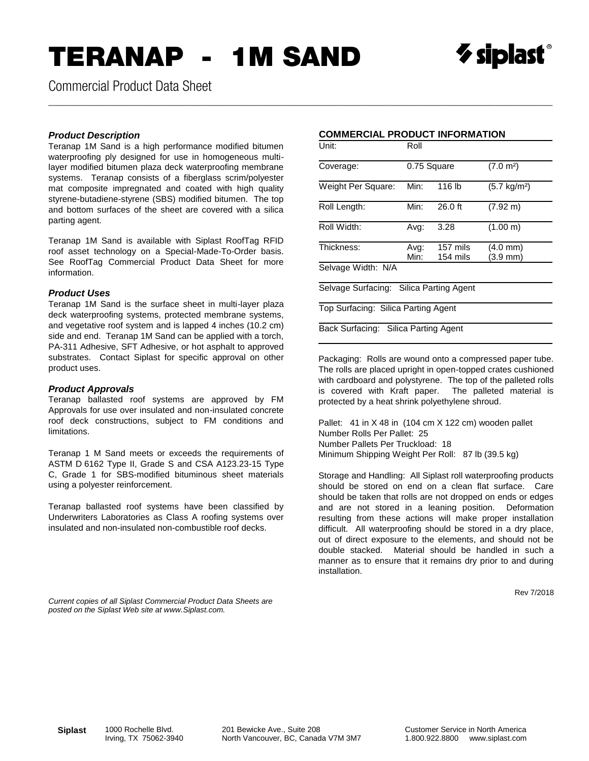# TERANAP - 1M SAND

\_\_\_\_\_\_\_\_\_\_\_\_\_\_\_\_\_\_\_\_\_\_\_\_\_\_\_\_\_\_\_\_\_\_\_\_\_\_\_\_\_\_\_\_\_\_\_\_\_\_\_\_\_\_\_\_\_\_\_\_\_\_\_\_\_\_\_\_\_\_\_\_\_\_\_\_\_\_\_\_\_\_\_\_\_\_\_\_\_\_\_\_\_\_\_\_\_\_\_\_\_\_\_\_



Commercial Product Data Sheet

### *Product Description*

Teranap 1M Sand is a high performance modified bitumen waterproofing ply designed for use in homogeneous multilayer modified bitumen plaza deck waterproofing membrane systems. Teranap consists of a fiberglass scrim/polyester mat composite impregnated and coated with high quality styrene-butadiene-styrene (SBS) modified bitumen. The top and bottom surfaces of the sheet are covered with a silica parting agent.

Teranap 1M Sand is available with Siplast RoofTag RFID roof asset technology on a Special-Made-To-Order basis. See RoofTag Commercial Product Data Sheet for more information.

### *Product Uses*

Teranap 1M Sand is the surface sheet in multi-layer plaza deck waterproofing systems, protected membrane systems, and vegetative roof system and is lapped 4 inches (10.2 cm) side and end. Teranap 1M Sand can be applied with a torch, PA-311 Adhesive, SFT Adhesive, or hot asphalt to approved substrates. Contact Siplast for specific approval on other product uses.

### *Product Approvals*

Teranap ballasted roof systems are approved by FM Approvals for use over insulated and non-insulated concrete roof deck constructions, subject to FM conditions and limitations.

Teranap 1 M Sand meets or exceeds the requirements of ASTM D 6162 Type II, Grade S and CSA A123.23-15 Type C, Grade 1 for SBS-modified bituminous sheet materials using a polyester reinforcement.

Teranap ballasted roof systems have been classified by Underwriters Laboratories as Class A roofing systems over insulated and non-insulated non-combustible roof decks.

#### *Current copies of all Siplast Commercial Product Data Sheets are posted on the Siplast Web site at www.Siplast.com.*

### **COMMERCIAL PRODUCT INFORMATION**

| Unit:                                      | Roll         |                      |                                  |  |  |  |  |
|--------------------------------------------|--------------|----------------------|----------------------------------|--|--|--|--|
| Coverage:                                  | 0.75 Square  |                      | (7.0 m <sup>2</sup> )            |  |  |  |  |
| Weight Per Square:                         | Min:         | 116 lb               | $(5.7 \text{ kg/m}^2)$           |  |  |  |  |
| Roll Length:                               | Min:         | $26.0$ ft            | $(7.92 \text{ m})$               |  |  |  |  |
| Roll Width:                                | Avg:         | 3.28                 | (1.00 m)                         |  |  |  |  |
| Thickness:                                 | Avg:<br>Min: | 157 mils<br>154 mils | $(4.0 \, \text{mm})$<br>(3.9 mm) |  |  |  |  |
| Selvage Width: N/A                         |              |                      |                                  |  |  |  |  |
| Selvage Surfacing:<br>Silica Parting Agent |              |                      |                                  |  |  |  |  |

Top Surfacing: Silica Parting Agent

Back Surfacing: Silica Parting Agent

Packaging: Rolls are wound onto a compressed paper tube. The rolls are placed upright in open-topped crates cushioned with cardboard and polystyrene. The top of the palleted rolls is covered with Kraft paper. The palleted material is protected by a heat shrink polyethylene shroud.

Pallet: 41 in X 48 in (104 cm X 122 cm) wooden pallet Number Rolls Per Pallet: 25 Number Pallets Per Truckload: 18 Minimum Shipping Weight Per Roll: 87 lb (39.5 kg)

Storage and Handling: All Siplast roll waterproofing products should be stored on end on a clean flat surface. Care should be taken that rolls are not dropped on ends or edges and are not stored in a leaning position. Deformation resulting from these actions will make proper installation difficult. All waterproofing should be stored in a dry place, out of direct exposure to the elements, and should not be double stacked. Material should be handled in such a manner as to ensure that it remains dry prior to and during installation.

Rev 7/2018